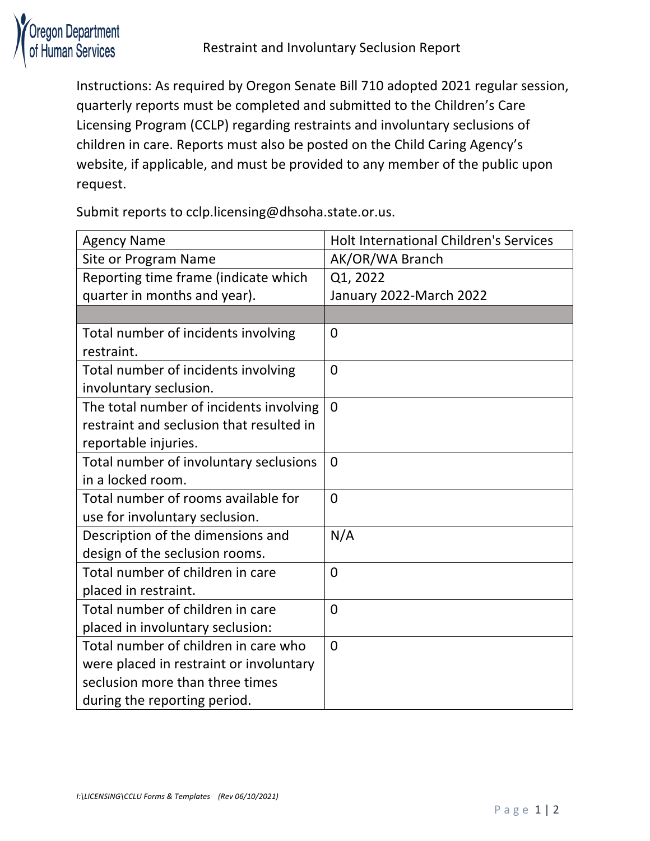

Instructions: As required by Oregon Senate Bill 710 adopted 2021 regular session, quarterly reports must be completed and submitted to the Children's Care Licensing Program (CCLP) regarding restraints and involuntary seclusions of children in care. Reports must also be posted on the Child Caring Agency's website, if applicable, and must be provided to any member of the public upon request.

Submit reports to cclp.licensing@dhsoha.state.or.us.

| <b>Agency Name</b>                       | <b>Holt International Children's Services</b> |
|------------------------------------------|-----------------------------------------------|
| Site or Program Name                     | AK/OR/WA Branch                               |
| Reporting time frame (indicate which     | Q1, 2022                                      |
| quarter in months and year).             | January 2022-March 2022                       |
|                                          |                                               |
| Total number of incidents involving      | $\overline{0}$                                |
| restraint.                               |                                               |
| Total number of incidents involving      | 0                                             |
| involuntary seclusion.                   |                                               |
| The total number of incidents involving  | $\overline{0}$                                |
| restraint and seclusion that resulted in |                                               |
| reportable injuries.                     |                                               |
| Total number of involuntary seclusions   | $\overline{0}$                                |
| in a locked room.                        |                                               |
| Total number of rooms available for      | $\overline{0}$                                |
| use for involuntary seclusion.           |                                               |
| Description of the dimensions and        | N/A                                           |
| design of the seclusion rooms.           |                                               |
| Total number of children in care         | $\overline{0}$                                |
| placed in restraint.                     |                                               |
| Total number of children in care         | $\overline{0}$                                |
| placed in involuntary seclusion:         |                                               |
| Total number of children in care who     | $\overline{0}$                                |
| were placed in restraint or involuntary  |                                               |
| seclusion more than three times          |                                               |
| during the reporting period.             |                                               |